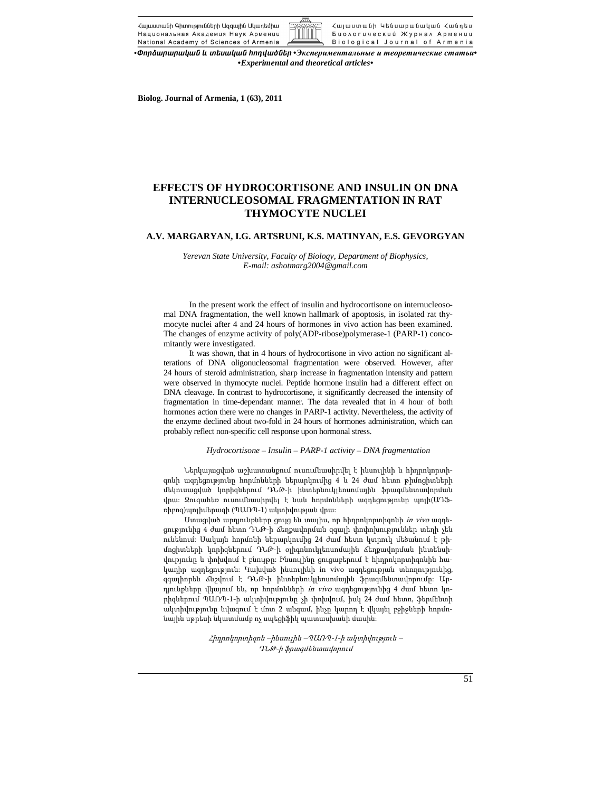Հայաստանի Գիտությունների Ազգային Ակարեմիա Հայաստանի Կենսաբանական Հանդես Национальная Академия Наук Армении Биологический Журнал Армении National Academy of Sciences of Armenia Biological Journal of Armenia

*•öáñÓ³ñ³ñ³Ï³Ý ¨ ï»ë³Ï³Ý Ñá¹í³ÍÝ»ñ •Экспериментальные и теоретические статьи• •Experimental and theoretical articles•* 

**Biolog. Journal of Armenia, 1 (63), 2011** 

# **EFFECTS OF HYDROCORTISONE AND INSULIN ON DNA INTERNUCLEOSOMAL FRAGMENTATION IN RAT THYMOCYTE NUCLEI**

## **A.V. MARGARYAN, I.G. ARTSRUNI, K.S. MATINYAN, E.S. GEVORGYAN**

*Yerevan State University, Faculty of Biology, Department of Biophysics, E-mail: ashotmarg2004@gmail.com* 

In the present work the effect of insulin and hydrocortisone on internucleosomal DNA fragmentation, the well known hallmark of apoptosis, in isolated rat thymocyte nuclei after 4 and 24 hours of hormones in vivo action has been examined. The changes of enzyme activity of poly(ADP-ribose)polymerase-1 (PARP-1) concomitantly were investigated.

It was shown, that in 4 hours of hydrocortisone in vivo action no significant alterations of DNA oligonucleosomal fragmentation were observed. However, after 24 hours of steroid administration, sharp increase in fragmentation intensity and pattern were observed in thymocyte nuclei. Peptide hormone insulin had a different effect on DNA cleavage. In contrast to hydrocortisone, it significantly decreased the intensity of fragmentation in time-dependant manner. The data revealed that in 4 hour of both hormones action there were no changes in PARP-1 activity. Nevertheless, the activity of the enzyme declined about two-fold in 24 hours of hormones administration, which can probably reflect non-specific cell response upon hormonal stress.

#### *Hydrocortisone – Insulin – PARP-1 activity – DNA fragmentation*

Ներկայացված աշխատանքում ուսումնասիրվել է ինսուլինի և հիդրոկորտիզոնի ազդեցությունը հորմոնների ներարկումից 4 և 24 ժամ հետո թիմոցիտների մեկուսացված կորիզներում ԴՆԹ-ի ինտերնուկլեոսոմային ֆրագմենտավորման վրա: Զուգահեռ ուսումնասիրվել է նաև հորմոնների ազդեցությունը պոլի(ԱԴՖռիբոզ)պոլիմերազի (ՊԱՌՊ-1) ակտիվության վրա:

Ստացված արդյունքները ցույց են տալիս, որ հիդրոկորտիզոնի in vivo ազդեցությունից 4 ժամ հետո ԴՆԹ-ի ճեղքավորման զգալի փոփոխություններ տեղի չեն ունենում: Սակայն հորմոնի ներարկումից 24 ժամ հետո կտրուկ մեծանում է թիմոցիտների կորիզներում ԴՆԹ-ի օլիգոնուկլեոսոմային ճեղքավորման ինտենսիվությունը և փոխվում է բնույթը: Ինսուլինը ցուցաբերում է հիդրոկորտիզոնին հակադիր ազդեցություն: Կախված ինսուլինի in vivo ազդեցության տևողությունից, զգալիորեն ճնշվում է ԴՆԹ-ի ինտերնուկլեոսոմային ֆրագմենտավորումը: Արդյունքները վկայում են, որ հորմոնների *in vivo* ազդեցությունից 4 ժամ հետո կորիզներում ՊԱՌՊ-1-ի ակտիվությունը չի փոխվում, իսկ 24 ժամ հետո, ֆերմենտի ակտիվությունը նվազում է մոտ 2 անգամ, ինչը կարող է վկայել բջիջների հորմոնային սթրեսի նկատմամբ ոչ սպեցիֆիկ պատասխանի մասին:

> Հիդրոկորտիզոն –ինսուլին –ՊԱՌՊ-1-ի ակտիվություն – ԴՆԹ-ի ֆրագմենտավորում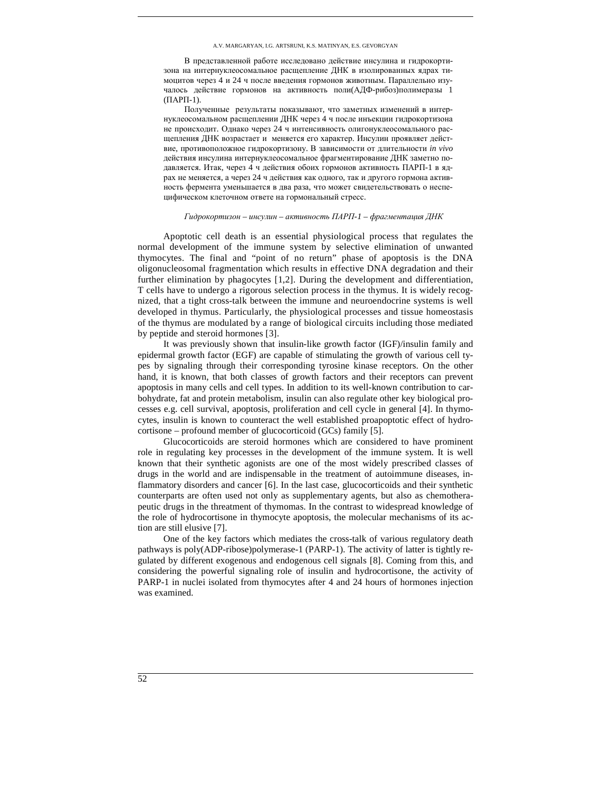В представленной работе исследовано действие инсулина и гидрокортизона на интернуклеосомальное расщепление ДНК в изолированных ядрах тимоцитов через 4 и 24 ч после введения гормонов животным. Параллельно изучалось действие гормонов на активность поли(АДФ-рибоз)полимеразы 1 (ПАРП-1).

Полученные результаты показывают, что заметных изменений в интернуклеосомальном расщеплении ДНК через 4 ч после инъекции гидрокортизона не происходит. Однако через 24 ч интенсивность олигонуклеосомального расщепления ДНК возрастает и меняется его характер. Инсулин проявляет действие, противоположное гидрокортизону. В зависимости от длительности *in vivo* действия инсулина интернуклеосомальное фрагментирование ДНК заметно подавляется. Итак, через 4 ч действия обоих гормонов активность ПАРП-1 в ядрах не меняется, а через 24 ч действия как одного, так и другого гормона активность фермента уменьшается в два раза, что может свидетельствовать о неспецифическом клеточном ответе на гормональный стресс.

### *Гидрокортизон – инсулин – активность ПАРП-1 – фрагментация ДНК*

Apoptotic cell death is an essential physiological process that regulates the normal development of the immune system by selective elimination of unwanted thymocytes. The final and "point of no return" phase of apoptosis is the DNA oligonucleosomal fragmentation which results in effective DNA degradation and their further elimination by phagocytes [1,2]. During the development and differentiation, T cells have to undergo a rigorous selection process in the thymus. It is widely recognized, that a tight cross-talk between the immune and neuroendocrine systems is well developed in thymus. Particularly, the physiological processes and tissue homeostasis of the thymus are modulated by a range of biological circuits including those mediated by peptide and steroid hormones [3].

It was previously shown that insulin-like growth factor (IGF)/insulin family and epidermal growth factor (EGF) are capable of stimulating the growth of various cell types by signaling through their corresponding tyrosine kinase receptors. On the other hand, it is known, that both classes of growth factors and their receptors can prevent apoptosis in many cells and cell types. In addition to its well-known contribution to carbohydrate, fat and protein metabolism, insulin can also regulate other key biological processes e.g. cell survival, apoptosis, proliferation and cell cycle in general [4]. In thymocytes, insulin is known to counteract the well established proapoptotic effect of hydrocortisone – profound member of glucocorticoid (GCs) family [5].

Glucocorticoids are steroid hormones which are considered to have prominent role in regulating key processes in the development of the immune system. It is well known that their synthetic agonists are one of the most widely prescribed classes of drugs in the world and are indispensable in the treatment of autoimmune diseases, inflammatory disorders and cancer [6]. In the last case, glucocorticoids and their synthetic counterparts are often used not only as supplementary agents, but also as chemotherapeutic drugs in the threatment of thymomas. In the contrast to widespread knowledge of the role of hydrocortisone in thymocyte apoptosis, the molecular mechanisms of its action are still elusive [7].

One of the key factors which mediates the cross-talk of various regulatory death pathways is poly(ADP-ribose)polymerase-1 (PARP-1). The activity of latter is tightly regulated by different exogenous and endogenous cell signals [8]. Coming from this, and considering the powerful signaling role of insulin and hydrocortisone, the activity of PARP-1 in nuclei isolated from thymocytes after 4 and 24 hours of hormones injection was examined.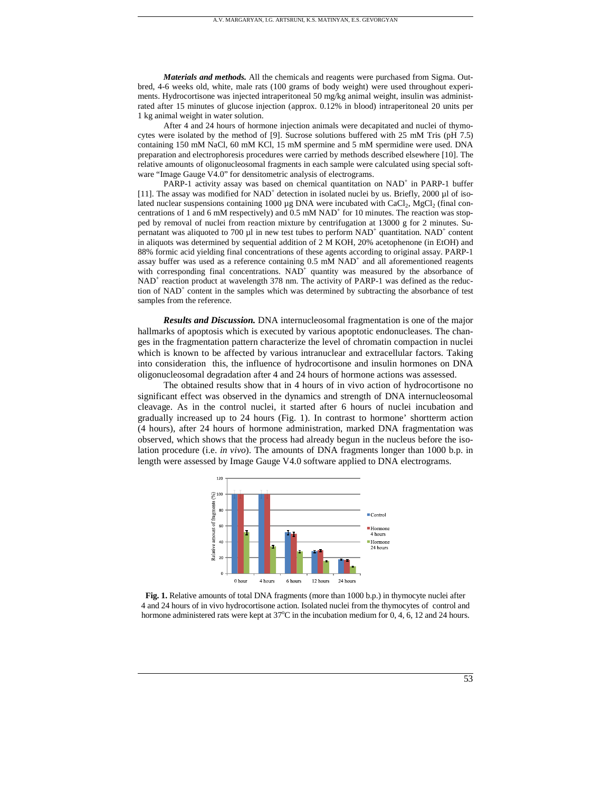*Materials and methods.* All the chemicals and reagents were purchased from Sigma. Outbred, 4-6 weeks old, white, male rats (100 grams of body weight) were used throughout experiments. Hydrocortisone was injected intraperitoneal 50 mg/kg animal weight, insulin was administrated after 15 minutes of glucose injection (approx. 0.12% in blood) intraperitoneal 20 units per 1 kg animal weight in water solution.

A.V. MARGARYAN, I.G. ARTSRUNI, K.S. MATINYAN, E.S. GEVORGYAN

After 4 and 24 hours of hormone injection animals were decapitated and nuclei of thymocytes were isolated by the method of [9]. Sucrose solutions buffered with 25 mM Tris (pH 7.5) containing 150 mM NaCl, 60 mM KCl, 15 mM spermine and 5 mM spermidine were used. DNA preparation and electrophoresis procedures were carried by methods described elsewhere [10]. The relative amounts of oligonucleosomal fragments in each sample were calculated using special software "Image Gauge V4.0" for densitometric analysis of electrograms.

PARP-1 activity assay was based on chemical quantitation on NAD<sup>+</sup> in PARP-1 buffer [11]. The assay was modified for NAD<sup>+</sup> detection in isolated nuclei by us. Briefly, 2000 µl of isolated nuclear suspensions containing 1000  $\mu$ g DNA were incubated with CaCl<sub>2</sub>, MgCl<sub>2</sub> (final concentrations of 1 and 6 mM respectively) and 0.5 mM NAD<sup>+</sup> for 10 minutes. The reaction was stopped by removal of nuclei from reaction mixture by centrifugation at 13000 g for 2 minutes. Supernatant was aliquoted to 700  $\mu$ l in new test tubes to perform NAD<sup>+</sup> quantitation. NAD<sup>+</sup> content in aliquots was determined by sequential addition of 2 M KOH, 20% acetophenone (in EtOH) and 88% formic acid yielding final concentrations of these agents according to original assay. PARP-1 assay buffer was used as a reference containing 0.5 mM NAD<sup>+</sup> and all aforementioned reagents with corresponding final concentrations.  $NAD<sup>+</sup>$  quantity was measured by the absorbance of NAD<sup>+</sup> reaction product at wavelength 378 nm. The activity of PARP-1 was defined as the reduction of NAD<sup>+</sup> content in the samples which was determined by subtracting the absorbance of test samples from the reference.

*Results and Discussion.* DNA internucleosomal fragmentation is one of the major hallmarks of apoptosis which is executed by various apoptotic endonucleases. The changes in the fragmentation pattern characterize the level of chromatin compaction in nuclei which is known to be affected by various intranuclear and extracellular factors. Taking into consideration this, the influence of hydrocortisone and insulin hormones on DNA oligonucleosomal degradation after 4 and 24 hours of hormone actions was assessed.

The obtained results show that in 4 hours of in vivo action of hydrocortisone no significant effect was observed in the dynamics and strength of DNA internucleosomal cleavage. As in the control nuclei, it started after 6 hours of nuclei incubation and gradually increased up to 24 hours (Fig. 1). In contrast to hormone' shortterm action (4 hours), after 24 hours of hormone administration, marked DNA fragmentation was observed, which shows that the process had already begun in the nucleus before the isolation procedure (i.e. *in vivo*). The amounts of DNA fragments longer than 1000 b.p. in length were assessed by Image Gauge V4.0 software applied to DNA electrograms.



**Fig. 1.** Relative amounts of total DNA fragments (more than 1000 b.p.) in thymocyte nuclei after 4 and 24 hours of in vivo hydrocortisone action. Isolated nuclei from the thymocytes of control and hormone administered rats were kept at  $37^{\circ}$ C in the incubation medium for 0, 4, 6, 12 and 24 hours.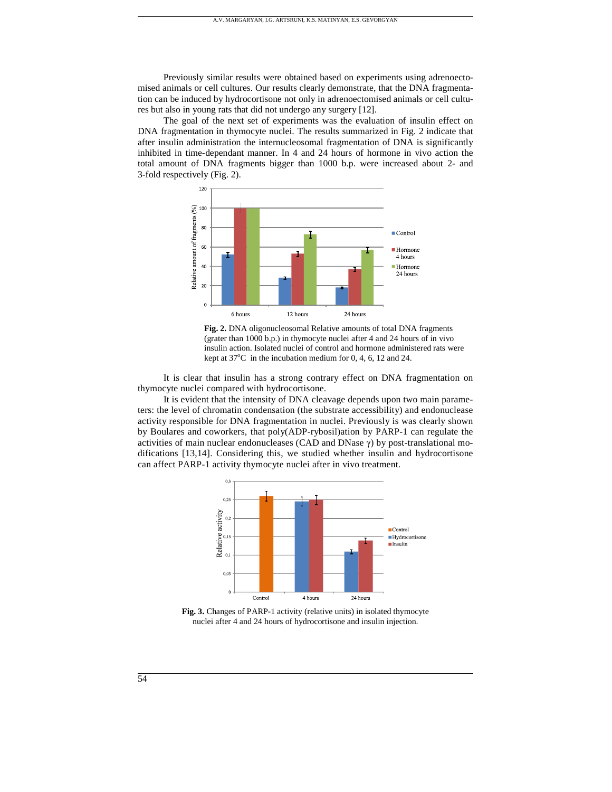Previously similar results were obtained based on experiments using adrenoectomised animals or cell cultures. Our results clearly demonstrate, that the DNA fragmentation can be induced by hydrocortisone not only in adrenoectomised animals or cell cultures but also in young rats that did not undergo any surgery [12].

A.V. MARGARYAN, I.G. ARTSRUNI, K.S. MATINYAN, E.S. GEVORGYAN

The goal of the next set of experiments was the evaluation of insulin effect on DNA fragmentation in thymocyte nuclei. The results summarized in Fig. 2 indicate that after insulin administration the internucleosomal fragmentation of DNA is significantly inhibited in time-dependant manner. In 4 and 24 hours of hormone in vivo action the total amount of DNA fragments bigger than 1000 b.p. were increased about 2- and 3-fold respectively (Fig. 2).



**Fig. 2.** DNA oligonucleosomal Relative amounts of total DNA fragments (grater than 1000 b.p.) in thymocyte nuclei after 4 and 24 hours of in vivo insulin action. Isolated nuclei of control and hormone administered rats were kept at  $37^{\circ}$ C in the incubation medium for 0, 4, 6, 12 and 24.

It is clear that insulin has a strong contrary effect on DNA fragmentation on thymocyte nuclei compared with hydrocortisone.

It is evident that the intensity of DNA cleavage depends upon two main parameters: the level of chromatin condensation (the substrate accessibility) and endonuclease activity responsible for DNA fragmentation in nuclei. Previously is was clearly shown by Boulares and coworkers, that poly(ADP-rybosil)ation by PARP-1 can regulate the activities of main nuclear endonucleases (CAD and DNase  $\gamma$ ) by post-translational modifications [13,14]. Considering this, we studied whether insulin and hydrocortisone can affect PARP-1 activity thymocyte nuclei after in vivo treatment.



**Fig. 3.** Changes of PARP-1 activity (relative units) in isolated thymocyte nuclei after 4 and 24 hours of hydrocortisone and insulin injection.